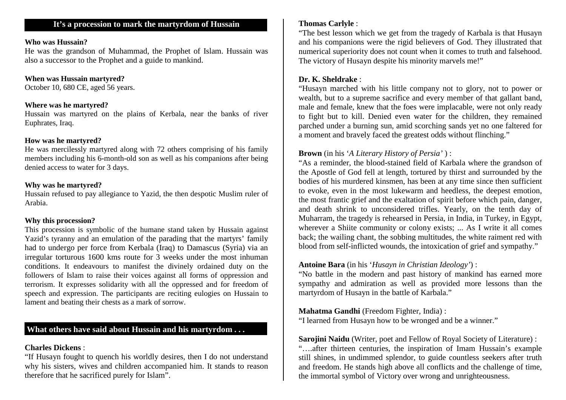#### **Who was Hussain?**

 He was the grandson of Muhammad, the Prophet of Islam. Hussain was also a successor to the Prophet and a guide to mankind.

### **When was Hussain martyred?**

October 10, 680 CE, aged 56 years.

#### **Where was he martyred?**

 Hussain was martyred on the plains of Kerbala, near the banks of river Euphrates, Iraq.

#### **How was he martyred?**

 He was mercilessly martyred along with 72 others comprising of his family members including his 6-month-old son as well as his companions after being denied access to water for 3 days.

#### **Why was he martyred?**

 Hussain refused to pay allegiance to Yazid, the then despotic Muslim ruler of Arabia.

### **Why this procession?**

 This procession is symbolic of the humane stand taken by Hussain against Yazid's tyranny and an emulation of the parading that the martyrs' family had to undergo per force from Kerbala (Iraq) to Damascus (Syria) via an irregular torturous 1600 kms route for 3 weeks under the most inhuman conditions. It endeavours to manifest the divinely ordained duty on the followers of Islam to raise their voices against all forms of oppression and terrorism. It expresses solidarity with all the oppressed and for freedom of speech and expression. The participants are reciting eulogies on Hussain to lament and beating their chests as a mark of sorrow.

## **What others have said about Hussain and his martyrdom . . .**

## **Charles Dickens** :

 "If Husayn fought to quench his worldly desires, then I do not understand why his sisters, wives and children accompanied him. It stands to reason therefore that he sacrificed purely for Islam".

## **Thomas Carlyle** :

 "The best lesson which we get from the tragedy of Karbala is that Husayn and his companions were the rigid believers of God. They illustrated that numerical superiority does not count when it comes to truth and falsehood. The victory of Husayn despite his minority marvels me!"

## **Dr. K. Sheldrake** :

 "Husayn marched with his little company not to glory, not to power or wealth, but to a supreme sacrifice and every member of that gallant band, male and female, knew that the foes were implacable, were not only ready to fight but to kill. Denied even water for the children, they remained parched under a burning sun, amid scorching sands yet no one faltered for a moment and bravely faced the greatest odds without flinching."

## **Brown** (in his '*A Literary History of Persia'* ) :

 "As a reminder, the blood-stained field of Karbala where the grandson of the Apostle of God fell at length, tortured by thirst and surrounded by the bodies of his murdered kinsmen, has been at any time since then sufficient to evoke, even in the most lukewarm and heedless, the deepest emotion, the most frantic grief and the exaltation of spirit before which pain, danger, and death shrink to unconsidered trifles. Yearly, on the tenth day of Muharram, the tragedy is rehearsed in Persia, in India, in Turkey, in Egypt, wherever a Shiite community or colony exists; ... As I write it all comes back; the wailing chant, the sobbing multitudes, the white raiment red with blood from self-inflicted wounds, the intoxication of grief and sympathy."

### **Antoine Bara** (in his '*Husayn in Christian Ideology'*) :

 "No battle in the modern and past history of mankind has earned more sympathy and admiration as well as provided more lessons than the martyrdom of Husayn in the battle of Karbala."

## **Mahatma Gandhi** (Freedom Fighter, India) :

"I learned from Husayn how to be wronged and be a winner."

**Sarojini Naidu** (Writer, poet and Fellow of Royal Society of Literature) : "….after thirteen centuries, the inspiration of Imam Hussain's example still shines, in undimmed splendor, to guide countless seekers after truth and freedom. He stands high above all conflicts and the challenge of time, the immortal symbol of Victory over wrong and unrighteousness.